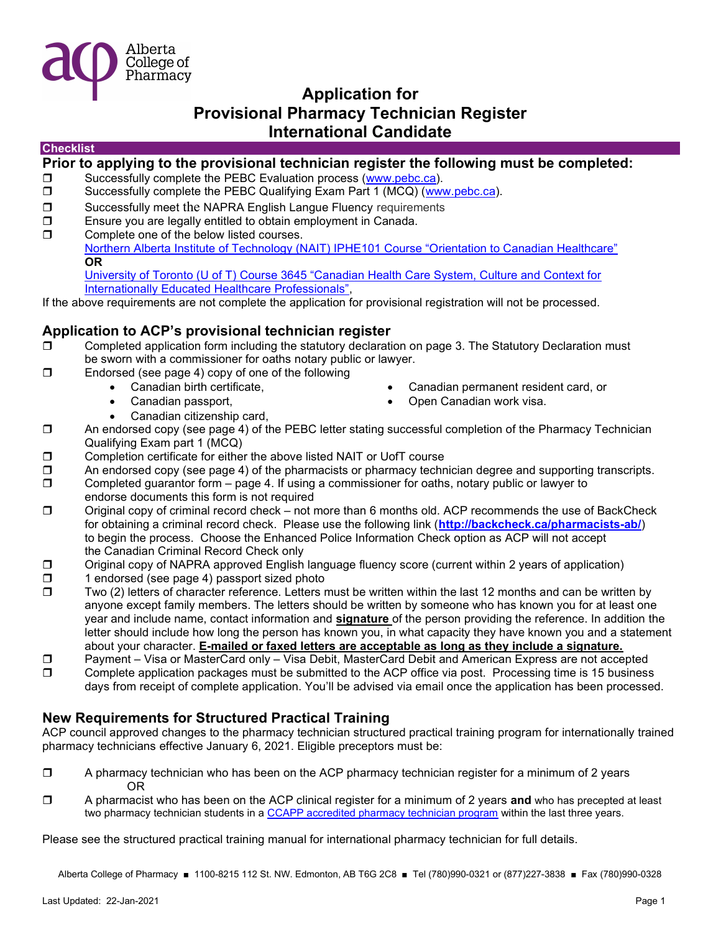

### Checklist

### Prior to applying to the provisional technician register the following must be completed:

- □ Successfully complete the PEBC Evaluation process (www.pebc.ca).
- $\square$  Successfully complete the PEBC Qualifying Exam Part 1 (MCQ) (www.pebc.ca).
- □ Successfully meet the NAPRA English Langue Fluency requirements
- Ensure you are legally entitled to obtain employment in Canada.
- $\Box$  Complete one of the below listed courses.

Northern Alberta Institute of Technology (NAIT) IPHE101 Course "Orientation to Canadian Healthcare" OR

University of Toronto (U of T) Course 3645 "Canadian Health Care System, Culture and Context for Internationally Educated Healthcare Professionals",

If the above requirements are not complete the application for provisional registration will not be processed.

### Application to ACP's provisional technician register

- $\square$  Completed application form including the statutory declaration on page 3. The Statutory Declaration must be sworn with a commissioner for oaths notary public or lawyer.
- $\square$  Endorsed (see page 4) copy of one of the following
	- Canadian birth certificate, Canadian permanent resident card, or
	-
	- Canadian passport, and the Canadian work visa.
	- Canadian citizenship card,
- □ An endorsed copy (see page 4) of the PEBC letter stating successful completion of the Pharmacy Technician
- Qualifying Exam part 1 (MCQ)
- $\square$  Completion certificate for either the above listed NAIT or UofT course
- $\Box$  An endorsed copy (see page 4) of the pharmacists or pharmacy technician degree and supporting transcripts.
- $\square$  Completed guarantor form page 4. If using a commissioner for oaths, notary public or lawyer to endorse documents this form is not required
- □ Original copy of criminal record check not more than 6 months old. ACP recommends the use of BackCheck for obtaining a criminal record check. Please use the following link (http://backcheck.ca/pharmacists-ab/) to begin the process. Choose the Enhanced Police Information Check option as ACP will not accept the Canadian Criminal Record Check only
- Original copy of NAPRA approved English language fluency score (current within 2 years of application)
- $\Box$  1 endorsed (see page 4) passport sized photo
- $\square$  Two (2) letters of character reference. Letters must be written within the last 12 months and can be written by anyone except family members. The letters should be written by someone who has known you for at least one year and include name, contact information and signature of the person providing the reference. In addition the letter should include how long the person has known you, in what capacity they have known you and a statement about your character. E-mailed or faxed letters are acceptable as long as they include a signature.
- □ Payment Visa or MasterCard only Visa Debit, MasterCard Debit and American Express are not accepted
- □ Complete application packages must be submitted to the ACP office via post. Processing time is 15 business days from receipt of complete application. You'll be advised via email once the application has been processed.

### New Requirements for Structured Practical Training

ACP council approved changes to the pharmacy technician structured practical training program for internationally trained pharmacy technicians effective January 6, 2021. Eligible preceptors must be:

- $\Box$  A pharmacy technician who has been on the ACP pharmacy technician register for a minimum of 2 years OR
- $\Box$  A pharmacist who has been on the ACP clinical register for a minimum of 2 years and who has precepted at least two pharmacy technician students in a CCAPP accredited pharmacy technician program within the last three years.

Please see the structured practical training manual for international pharmacy technician for full details.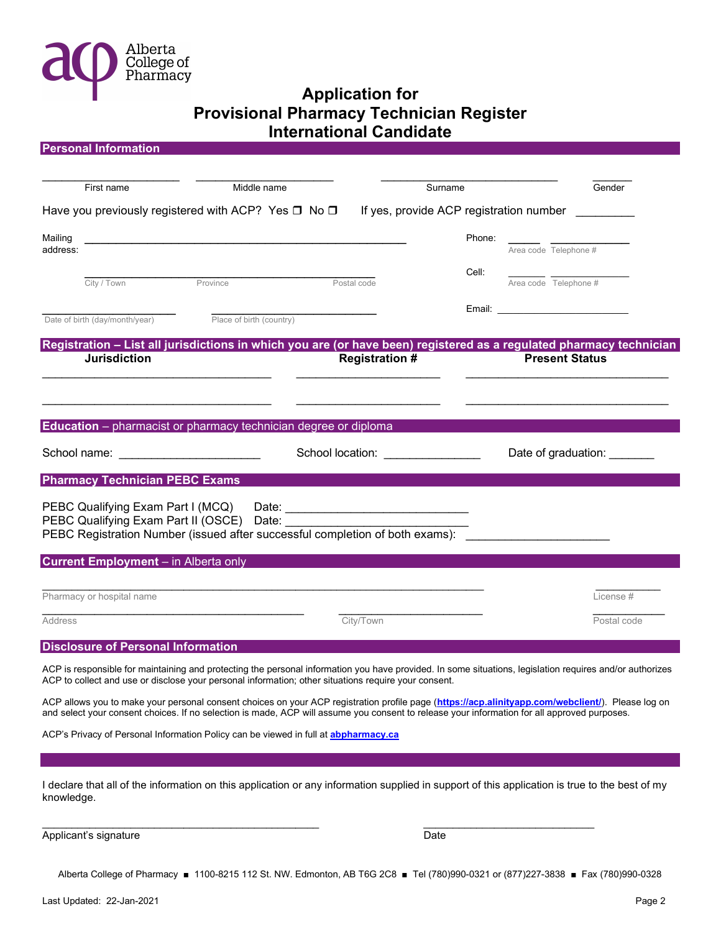

| <b>Personal Information</b>                                                                                                                                                                                                                                                                       |                          |                                   |         |                             |
|---------------------------------------------------------------------------------------------------------------------------------------------------------------------------------------------------------------------------------------------------------------------------------------------------|--------------------------|-----------------------------------|---------|-----------------------------|
| First name                                                                                                                                                                                                                                                                                        | Middle name              |                                   | Surname | Gender                      |
| Have you previously registered with ACP? Yes □ No □<br>If yes, provide ACP registration number                                                                                                                                                                                                    |                          |                                   |         |                             |
| Mailing<br>address:                                                                                                                                                                                                                                                                               |                          |                                   | Phone:  | Area code Telephone #       |
| City / Town                                                                                                                                                                                                                                                                                       | Province                 | Postal code                       | Cell:   | Area code Telephone #       |
| Date of birth (day/month/year)                                                                                                                                                                                                                                                                    | Place of birth (country) |                                   |         |                             |
| Registration - List all jurisdictions in which you are (or have been) registered as a regulated pharmacy technician                                                                                                                                                                               |                          |                                   |         |                             |
| <b>Jurisdiction</b>                                                                                                                                                                                                                                                                               |                          | <b>Registration#</b>              |         | <b>Present Status</b>       |
|                                                                                                                                                                                                                                                                                                   |                          |                                   |         |                             |
| Education - pharmacist or pharmacy technician degree or diploma                                                                                                                                                                                                                                   |                          |                                   |         |                             |
| School name: _________________________                                                                                                                                                                                                                                                            |                          | School location: ________________ |         | Date of graduation: _______ |
| <b>Pharmacy Technician PEBC Exams</b>                                                                                                                                                                                                                                                             |                          |                                   |         |                             |
| PEBC Qualifying Exam Part I (MCQ)<br>Date: <u>___________________________________</u><br>PEBC Qualifying Exam Part II (OSCE) Date:<br>PEBC Registration Number (issued after successful completion of both exams):                                                                                |                          |                                   |         |                             |
| <b>Current Employment</b> – in Alberta only                                                                                                                                                                                                                                                       |                          |                                   |         |                             |
| Pharmacy or hospital name                                                                                                                                                                                                                                                                         |                          |                                   |         | License#                    |
| <b>Address</b>                                                                                                                                                                                                                                                                                    |                          | City/Town                         |         | Postal code                 |
| <b>Disclosure of Personal Information</b>                                                                                                                                                                                                                                                         |                          |                                   |         |                             |
| ACP is responsible for maintaining and protecting the personal information you have provided. In some situations, legislation requires and/or authorizes<br>ACP to collect and use or disclose your personal information; other situations require your consent.                                  |                          |                                   |         |                             |
| ACP allows you to make your personal consent choices on your ACP registration profile page (https://acp.alinityapp.com/webclient/). Please log on<br>and select your consent choices. If no selection is made, ACP will assume you consent to release your information for all approved purposes. |                          |                                   |         |                             |
| ACP's Privacy of Personal Information Policy can be viewed in full at <b>abpharmacy.ca</b>                                                                                                                                                                                                        |                          |                                   |         |                             |

I declare that all of the information on this application or any information supplied in support of this application is true to the best of my knowledge.

 $\overline{\phantom{a}}$  , and the contribution of the contribution of  $\overline{\phantom{a}}$  , and  $\overline{\phantom{a}}$  , and  $\overline{\phantom{a}}$  , and  $\overline{\phantom{a}}$ 

Applicant's signature Date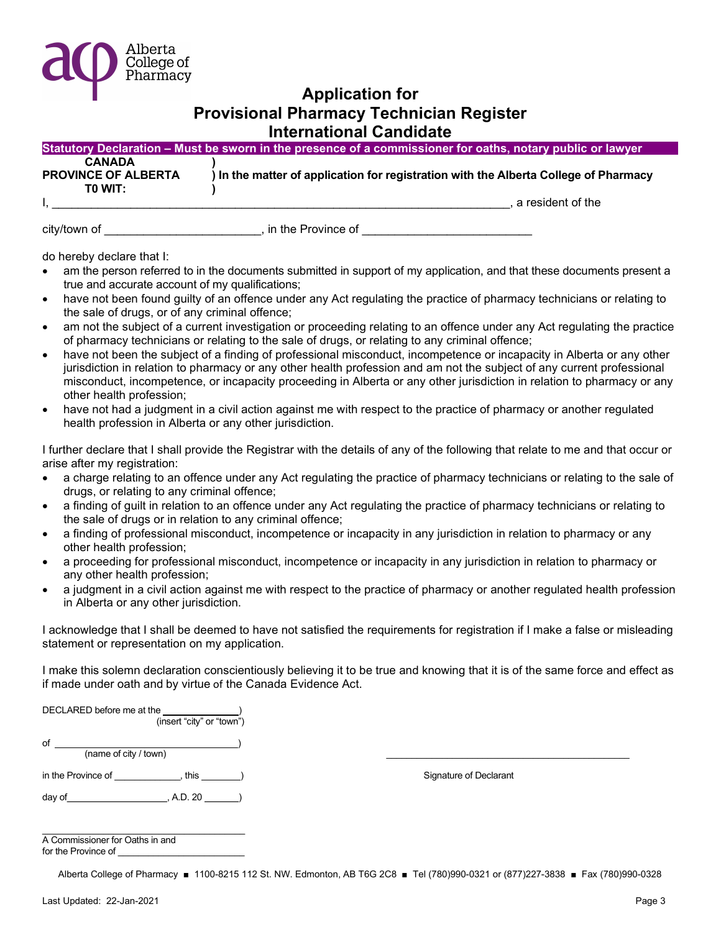

|                            | Statutory Declaration – Must be sworn in the presence of a commissioner for oaths, notary public or lawyer |
|----------------------------|------------------------------------------------------------------------------------------------------------|
| <b>CANADA</b>              |                                                                                                            |
| <b>PROVINCE OF ALBERTA</b> | ) In the matter of application for registration with the Alberta College of Pharmacy                       |
| TO WIT:                    |                                                                                                            |
|                            | a resident of the                                                                                          |

city/town of \_\_\_\_\_\_\_\_\_\_\_\_\_\_\_\_\_\_\_\_\_\_\_\_\_\_\_, in the Province of \_\_\_\_\_\_\_\_\_\_\_\_\_\_\_\_\_\_\_\_

do hereby declare that I:

- am the person referred to in the documents submitted in support of my application, and that these documents present a true and accurate account of my qualifications;
- have not been found guilty of an offence under any Act regulating the practice of pharmacy technicians or relating to the sale of drugs, or of any criminal offence;
- am not the subject of a current investigation or proceeding relating to an offence under any Act regulating the practice of pharmacy technicians or relating to the sale of drugs, or relating to any criminal offence;
- have not been the subject of a finding of professional misconduct, incompetence or incapacity in Alberta or any other jurisdiction in relation to pharmacy or any other health profession and am not the subject of any current professional misconduct, incompetence, or incapacity proceeding in Alberta or any other jurisdiction in relation to pharmacy or any other health profession;
- have not had a judgment in a civil action against me with respect to the practice of pharmacy or another regulated health profession in Alberta or any other jurisdiction.

I further declare that I shall provide the Registrar with the details of any of the following that relate to me and that occur or arise after my registration:

- a charge relating to an offence under any Act regulating the practice of pharmacy technicians or relating to the sale of drugs, or relating to any criminal offence;
- a finding of guilt in relation to an offence under any Act regulating the practice of pharmacy technicians or relating to the sale of drugs or in relation to any criminal offence;
- a finding of professional misconduct, incompetence or incapacity in any jurisdiction in relation to pharmacy or any other health profession;
- a proceeding for professional misconduct, incompetence or incapacity in any jurisdiction in relation to pharmacy or any other health profession;
- a judgment in a civil action against me with respect to the practice of pharmacy or another regulated health profession in Alberta or any other jurisdiction.

I acknowledge that I shall be deemed to have not satisfied the requirements for registration if I make a false or misleading statement or representation on my application.

I make this solemn declaration conscientiously believing it to be true and knowing that it is of the same force and effect as if made under oath and by virtue of the Canada Evidence Act.

| DECLARED before me at the<br>(insert "city" or "town") |                        |
|--------------------------------------------------------|------------------------|
| of<br>(name of city / town)                            |                        |
| in the Province of<br>this                             | Signature of Declarant |
| day of<br>, A.D. 20                                    |                        |
|                                                        |                        |

| A Commissioner for Oaths in and |  |
|---------------------------------|--|
| for the Province of             |  |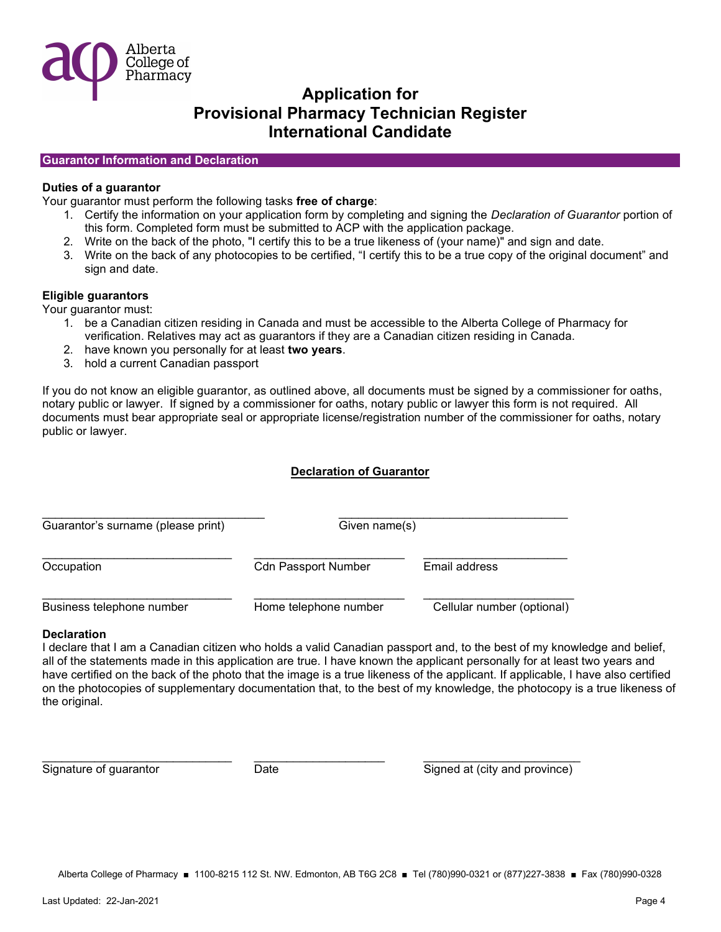

### Guarantor Information and Declaration

### Duties of a guarantor

Your guarantor must perform the following tasks free of charge:

- 1. Certify the information on your application form by completing and signing the Declaration of Guarantor portion of this form. Completed form must be submitted to ACP with the application package.
- 2. Write on the back of the photo, "I certify this to be a true likeness of (your name)" and sign and date.
- 3. Write on the back of any photocopies to be certified, "I certify this to be a true copy of the original document" and sign and date.

### Eligible guarantors

Your guarantor must:

- 1. be a Canadian citizen residing in Canada and must be accessible to the Alberta College of Pharmacy for verification. Relatives may act as guarantors if they are a Canadian citizen residing in Canada.
- 2. have known you personally for at least two years.
- 3. hold a current Canadian passport

If you do not know an eligible guarantor, as outlined above, all documents must be signed by a commissioner for oaths, notary public or lawyer. If signed by a commissioner for oaths, notary public or lawyer this form is not required. All documents must bear appropriate seal or appropriate license/registration number of the commissioner for oaths, notary public or lawyer.

### Declaration of Guarantor

| Guarantor's surname (please print) | Given name(s)              |                            |  |
|------------------------------------|----------------------------|----------------------------|--|
| Occupation                         | <b>Cdn Passport Number</b> | Email address              |  |
| Business telephone number          | Home telephone number      | Cellular number (optional) |  |

\_\_\_\_\_\_\_\_\_\_\_\_\_\_\_\_\_\_\_\_\_\_\_\_\_\_\_\_\_ \_\_\_\_\_\_\_\_\_\_\_\_\_\_\_\_\_\_\_\_ \_\_\_\_\_\_\_\_\_\_\_\_\_\_\_\_\_\_\_\_\_\_\_\_

### **Declaration**

I declare that I am a Canadian citizen who holds a valid Canadian passport and, to the best of my knowledge and belief, all of the statements made in this application are true. I have known the applicant personally for at least two years and have certified on the back of the photo that the image is a true likeness of the applicant. If applicable, I have also certified on the photocopies of supplementary documentation that, to the best of my knowledge, the photocopy is a true likeness of the original.

Signature of guarantor **Date** Date Signed at (city and province)